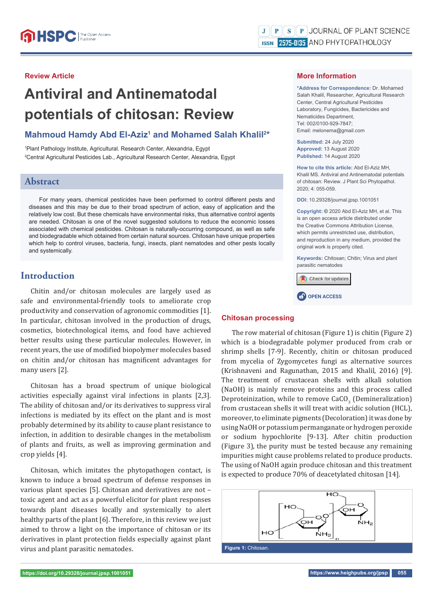# **Review Article**

# **Antiviral and Antinematodal potentials of chitosan: Review**

# Mahmoud Hamdy Abd El-Aziz<sup>1</sup> and Mohamed Salah Khalil<sup>2\*</sup>

1 Plant Pathology Institute, Agricultural. Research Center, Alexandria, Egypt 2 Central Agricultural Pesticides Lab., Agricultural Research Center, Alexandria, Egypt

# **Abstract**

For many years, chemical pesticides have been performed to control different pests and diseases and this may be due to their broad spectrum of action, easy of application and the relatively low cost. But these chemicals have environmental risks, thus alternative control agents are needed. Chitosan is one of the novel suggested solutions to reduce the economic losses associated with chemical pesticides. Chitosan is naturally-occurring compound, as well as safe and biodegradable which obtained from certain natural sources. Chitosan have unique properties which help to control viruses, bacteria, fungi, insects, plant nematodes and other pests locally and systemically.

# **Introduction**

Chitin and/or chitosan molecules are largely used as safe and environmental-friendly tools to ameliorate crop productivity and conservation of agronomic commodities [1]. In particular, chitosan involved in the production of drugs, cosmetics, biotechnological items, and food have achieved better results using these particular molecules. However, in recent years, the use of modified biopolymer molecules based on chitin and/or chitosan has magnificent advantages for many users [2].

Chitosan has a broad spectrum of unique biological activities especially against viral infections in plants [2,3]. The ability of chitosan and/or its derivatives to suppress viral infections is mediated by its effect on the plant and is most probably determined by its ability to cause plant resistance to infection, in addition to desirable changes in the metabolism of plants and fruits, as well as improving germination and crop yields [4].

Chitosan, which imitates the phytopathogen contact, is known to induce a broad spectrum of defense responses in various plant species [5]. Chitosan and derivatives are not – toxic agent and act as a powerful elicitor for plant responses towards plant diseases locally and systemically to alert healthy parts of the plant [6]. Therefore, in this review we just aimed to throw a light on the importance of chitosan or its derivatives in plant protection fields especially against plant virus and plant parasitic nematodes.

#### **More Information**

**\*Address for Correspondence:** Dr. Mohamed Salah Khalil, Researcher, Agricultural Research Center, Central Agricultural Pesticides Laboratory, Fungicides, Bactericides and Nematicides Department, Tel: 002/0100-929-7847; Email: melonema@gmail.com

**Submitted:** 24 July 2020 **Approved:** 13 August 2020 **Published:** 14 August 2020

**How to cite this article:** Abd El-Aziz MH, Khalil MS. Antiviral and Antinematodal potentials of chitosan: Review. J Plant Sci Phytopathol. 2020; 4: 055-059.

**DOI:** 10.29328/journal.jpsp.1001051

**Copyright: ©** 2020 Abd El-Aziz MH, et al. This is an open access article distributed under the Creative Commons Attribution License, which permits unrestricted use, distribution, and reproduction in any medium, provided the original work is properly cited.

**Keywords:** Chitosan; Chitin; Virus and plant parasitic nematodes



#### **Chitosan processing**

The row material of chitosan (Figure 1) is chitin (Figure 2) which is a biodegradable polymer produced from crab or shrimp shells [7-9]. Recently, chitin or chitosan produced from mycelia of Zygomycetes fungi as alternative sources (Krishnaveni and Ragunathan, 2015 and Khalil, 2016) [9]. The treatment of crustacean shells with alkali solution (NaOH) is mainly remove proteins and this process called Deproteinization, while to remove  $\text{CaCO}_3$  (Demineralization) from crustacean shells it will treat with acidic solution (HCL), moreover, to eliminate pigments (Decoloration) it was done by using NaOH or potassium permanganate or hydrogen peroxide or sodium hypochlorite [9-13]. After chitin production (Figure 3), the purity must be tested because any remaining impurities might cause problems related to produce products. The using of NaOH again produce chitosan and this treatment is expected to produce 70% of deacetylated chitosan [14].

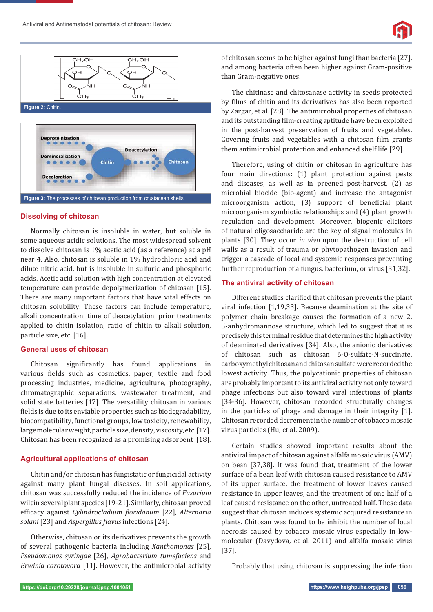





# **Dissolving of chitosan**

Normally chitosan is insoluble in water, but soluble in some aqueous acidic solutions. The most widespread solvent to dissolve chitosan is 1% acetic acid (as a reference) at a pH near 4. Also, chitosan is soluble in 1% hydrochloric acid and dilute nitric acid, but is insoluble in sulfuric and phosphoric acids. Acetic acid solution with high concentration at elevated temperature can provide depolymerization of chitosan [15]. There are many important factors that have vital effects on chitosan solubility. These factors can include temperature, alkali concentration, time of deacetylation, prior treatments applied to chitin isolation, ratio of chitin to alkali solution, particle size, etc. [16].

## **General uses of chitosan**

Chitosan significantly has found applications in various fields such as cosmetics, paper, textile and food processing industries, medicine, agriculture, photography, chromatographic separations, wastewater treatment, and solid state batteries [17]. The versatility chitosan in various fields is due to its enviable properties such as biodegradability, biocompatibility, functional groups, low toxicity, renewability, large molecular weight, particle size, density, viscosity, etc. [17]. Chitosan has been recognized as a promising adsorbent [18].

## **Agricultural applications of chitosan**

Chitin and/or chitosan has fungistatic or fungicidal activity against many plant fungal diseases. In soil applications, chitosan was successfully reduced the incidence of *Fusarium*  wilt in several plant species [19-21]. Similarly, chitosan proved *efficacy against Cylindrocladium floridanum* [22], *Alternaria solani* [23] and *Aspergillus ϔlavus* infections [24].

Otherwise, chitosan or its derivatives prevents the growth of several pathogenic bacteria including *Xanthomonas* [25], *Pseudomonas syringae* [26], *Agrobacterium tumefaciens* and *Erwinia carotovora* [11]. However, the antimicrobial activity of chitosan seems to be higher against fungi than bacteria [27], and among bacteria often been higher against Gram-positive than Gram-negative ones.

The chitinase and chitosanase activity in seeds protected by films of chitin and its derivatives has also been reported by Zargar, et al. [28]. The antimicrobial properties of chitosan and its outstanding film-creating aptitude have been exploited in the post-harvest preservation of fruits and vegetables. Covering fruits and vegetables with a chitosan film grants them antimicrobial protection and enhanced shelf life [29].

Therefore, using of chitin or chitosan in agriculture has four main directions: (1) plant protection against pests and diseases, as well as in preened post-harvest, (2) as microbial biocide (bio-agent) and increase the antagonist microorganism action, (3) support of beneficial plant microorganism symbiotic relationships and (4) plant growth regulation and development. Moreover, biogenic elicitors of natural oligosaccharide are the key of signal molecules in plants [30]. They occur *in vivo* upon the destruction of cell walls as a result of trauma or phytopathogen invasion and trigger a cascade of local and systemic responses preventing further reproduction of a fungus, bacterium, or virus [31,32].

## **The antiviral activity of chitosan**

Different studies clarified that chitosan prevents the plant viral infection [1,19,33]. Because deamination at the site of polymer chain breakage causes the formation of a new 2, 5-anhydromannose structure, which led to suggest that it is precisely this terminal residue that determines the high activity of deaminated derivatives [34]. Also, the anionic derivatives of chitosan such as chitosan 6-O-sulfate-N-succinate, carboxymethyl chitosan and chitosan sulfate were recorded the lowest activity. Thus, the polycationic properties of chitosan are probably important to its antiviral activity not only toward phage infections but also toward viral infections of plants [34-36]. However, chitosan recorded structurally changes in the particles of phage and damage in their integrity [1]. Chitosan recorded decrement in the number of tobacco mosaic virus particles (Hu, et al. 2009).

Certain studies showed important results about the antiviral impact of chitosan against alfalfa mosaic virus (AMV) on bean [37,38]. It was found that, treatment of the lower surface of a bean leaf with chitosan caused resistance to AMV of its upper surface, the treatment of lower leaves caused resistance in upper leaves, and the treatment of one half of a leaf caused resistance on the other, untreated half. These data suggest that chitosan induces systemic acquired resistance in plants. Chitosan was found to be inhibit the number of local necrosis caused by tobacco mosaic virus especially in lowmolecular (Davydova, et al. 2011) and alfalfa mosaic virus [37].

Probably that using chitosan is suppressing the infection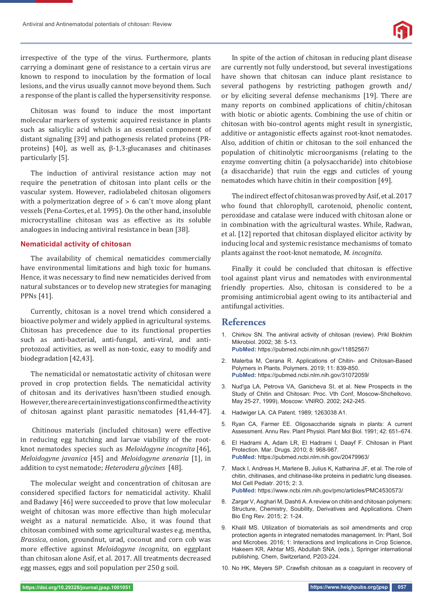

irrespective of the type of the virus. Furthermore, plants carrying a dominant gene of resistance to a certain virus are known to respond to inoculation by the formation of local lesions, and the virus usually cannot move beyond them. Such a response of the plant is called the hypersensitivity response.

Chitosan was found to induce the most important molecular markers of systemic acquired resistance in plants such as salicylic acid which is an essential component of distant signaling [39] and pathogenesis related proteins (PRproteins) [40], as well as, β-1,3-glucanases and chitinases particularly [5].

The induction of antiviral resistance action may not require the penetration of chitosan into plant cells or the vascular system. However, radiolabeled chitosan oligomers with a polymerization degree of  $> 6$  can't move along plant vessels (Pena-Cortes, et al. 1995). On the other hand, insoluble microcrystalline chitosan was as effective as its soluble analogues in inducing antiviral resistance in bean [38].

#### **Nematicidal activity of chitosan**

The availability of chemical nematicides commercially have environmental limitations and high toxic for humans. Hence, it was necessary to find new nematicides derived from natural substances or to develop new strategies for managing PPNs [41].

Currently, chitosan is a novel trend which considered a bioactive polymer and widely applied in agricultural systems. Chitosan has precedence due to its functional properties such as anti-bacterial, anti-fungal, anti-viral, and antiprotozoal activities, as well as non-toxic, easy to modify and biodegradation [42,43].

The nematicidal or nematostatic activity of chitosan were proved in crop protection fields. The nematicidal activity of chitosan and its derivatives hasn'tbeen studied enough. However, there are certain investigations confirmed the activity of chitosan against plant parasitic nematodes [41,44-47].

 Chitinous materials (included chitosan) were effective in reducing egg hatching and larvae viability of the rootknot nematodes species such as *Meloidogyne incognita* [46], *Meloidogyne javanica* [45] and *Meloidogyne arenaria* [1], in addition to cyst nematode; *Heterodera glycines* [48].

The molecular weight and concentration of chitosan are considered specified factors for nematicidal activity. Khalil and Badawy [46] were succeeded to prove that low molecular weight of chitosan was more effective than high molecular weight as a natural nematicide. Also, it was found that chitosan combined with some agricultural wastes e.g. mentha, *Brassica*, onion, groundnut, urad, coconut and corn cob was more effective against *Meloidogyne incognita*, on eggplant than chitosan alone Asif, et al. 2017. All treatments decreased egg masses, eggs and soil population per 250 g soil.

In spite of the action of chitosan in reducing plant disease are currently not fully understood, but several investigations have shown that chitosan can induce plant resistance to several pathogens by restricting pathogen growth and/ or by eliciting several defense mechanisms [19]. There are many reports on combined applications of chitin/chitosan with biotic or abiotic agents. Combining the use of chitin or chitosan with bio-control agents might result in synergistic, additive or antagonistic effects against root-knot nematodes. Also, addition of chitin or chitosan to the soil enhanced the population of chitinolytic microorganisms (relating to the enzyme converting chitin (a polysaccharide) into chitobiose (a disaccharide) that ruin the eggs and cuticles of young nematodes which have chitin in their composition [49].

The indirect effect of chitosan was proved by Asif, et al. 2017 who found that chlorophyll, carotenoid, phenolic content, peroxidase and catalase were induced with chitosan alone or in combination with the agricultural wastes. While, Radwan, et al. [12] reported that chitosan displayed elicitor activity by inducing local and systemic resistance mechanisms of tomato plants against the root-knot nematode, *M. incognita*.

Finally it could be concluded that chitosan is effective tool against plant virus and nematodes with environmental friendly properties. Also, chitosan is considered to be a promising antimicrobial agent owing to its antibacterial and antifungal activities.

# **References**

- 1. Chirkov SN. The antiviral activity of chitosan (review). Prikl Biokhim Mikrobiol. 2002; 38: 5-13.
	- **PubMed:** https://pubmed.ncbi.nlm.nih.gov/11852567/
- 2. Malerba M, Cerana R. Applications of Chitin- and Chitosan-Based Polymers in Plants. Polymers. 2019; 11: 839-850. **PubMed:** https://pubmed.ncbi.nlm.nih.gov/31072059/
- 3. Nud'ga LA, Petrova VA, Ganicheva SI, et al. New Prospects in the Study of Chitin and Chitosan: Proc. Vth Conf, Moscow-Shchelkovo. May 25-27, 1999), Moscow: VNIRO. 2002; 242-245.
- 4. Hadwiger LA. CA Patent. 1989; 1263038 A1.
- 5. Ryan CA, Farmer EE. Oligosaccharide signals in plants: A current Assessment. Annu Rev. Plant Physiol. Plant Mol Biol. 1991; 42: 651–674.
- 6. El Hadrami A, Adam LR, El Hadrami I, Daayf F. Chitosan in Plant Protection. Mar. Drugs. 2010; 8: 968-987. **PubMed:** https://pubmed.ncbi.nlm.nih.gov/20479963/
- 7. Mack I, Andreas H, Marlene B, Julius K, Katharina JF, et al. The role of chitin, chitinases, and chitinase-like proteins in pediatric lung diseases. Mol Cell Pediatr. 2015; 2: 3. **PubMed:** https://www.ncbi.nlm.nih.gov/pmc/articles/PMC4530573/
- 8. Zargar V, Asghari M, Dashti A. A review on chitin and chitosan polymers: Structure, Chemistry, Soubility, Derivatives and Applications. Chem Bio Eng Rev. 2015; 2: 1-24.
- 9. Khalil MS. Utilization of biomaterials as soil amendments and crop protection agents in integrated nematodes management. In: Plant, Soil and Microbes. 2016; 1: Interactions and Implications in Crop Science, Hakeem KR, Akhtar MS, Abdullah SNA. (eds.), Springer international publishing, Chem, Switzerland, P203-224.
- 10. No HK, Meyers SP. Crawfish chitosan as a coagulant in recovery of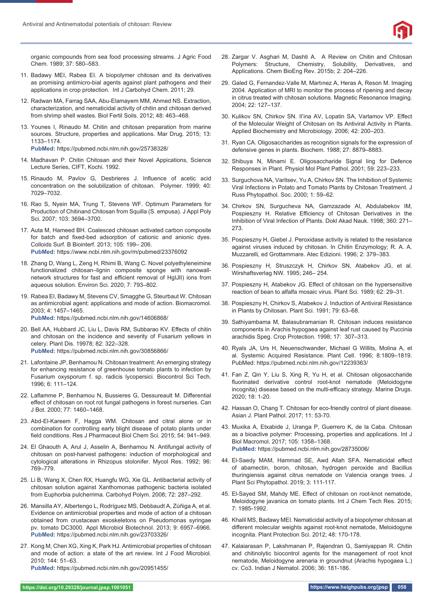

organic compounds from sea food processing streams. J Agric Food Chem. 1989; 37: 580–583.

- 11. Badawy MEI, Rabea EI. A biopolymer chitosan and its derivatives as promising antimicro-bial agents against plant pathogens and their applications in crop protection. Int J Carbohyd Chem. 2011; 29.
- 12. Radwan MA, Farrag SAA, Abu-Elamayem MM, Ahmed NS. Extraction, characterization, and nematicidal activity of chitin and chitosan derived from shrimp shell wastes. Biol Fertil Soils. 2012; 48: 463–468.
- 13. Younes I, Rinaudo M. Chitin and chitosan preparation from marine sources. Structure, properties and applications. Mar Drug. 2015; 13: 1133–1174. **PubMed:** https://pubmed.ncbi.nlm.nih.gov/25738328/
- 14. Madhavan P. Chitin Chitosan and their Novel Appications, Science Lecture Series, CIFT, Kochi. 1992.
- 15. Rinaudo M, Pavlov G, Desbrieres J. Influence of acetic acid concentration on the solubilization of chitosan. Polymer. 1999; 40: 7029–7032.
- 16. Rao S, Nyein MA, Trung T, Stevens WF. Optimum Parameters for Production of Chitinand Chitosan from Squilla (S. empusa). J Appl Poly Sci. 2007; 103: 3694–3700.
- 17. Auta M, Hameed BH. Coalesced chitosan activated carbon composite for batch and fixed-bed adsorption of cationic and anionic dyes. Colloids Surf. B Biointerf. 2013; 105: 199– 206. **PubMed:** https://www.ncbi.nlm.nih.gov/m/pubmed/23376092
- 18. Zhang D, Wang L, Zeng H, Rhimi B, Wang C. Novel polyethyleneimine functionalized chitosan–lignin composite sponge with nanowallnetwork structures for fast and efficient removal of HgIJII) ions from aqueous solution. Environ Sci. 2020; 7: 793–802.
- 19. Rabea EI, Badawy M, Stevens CV, Smagghe G, Steurbaut W. Chitosan as antimicrobial agent: applications and mode of action. Biomacromol. 2003; 4: 1457–1465. **PubMed:** https://pubmed.ncbi.nlm.nih.gov/14606868/
- 20. Bell AA, Hubbard JC, Liu L, Davis RM, Subbarao KV. Effects of chitin and chitosan on the incidence and severity of Fusarium yellows in celery. Plant Dis. 19978; 82: 322–328. **PubMed:** https://pubmed.ncbi.nlm.nih.gov/30856866/
- 21. Lafontaine JP, Benhamou N. Chitosan treatment: An emerging strategy for enhancing resistance of greenhouse tomato plants to infection by Fusarium oxysporum f. sp. radicis lycopersici. Biocontrol Sci Tech. 1996; 6: 111–124.
- 22. Laflamme P, Benhamou N, Bussieres G, Dessureault M. Differential effect of chitosan on root rot fungal pathogens in forest nurseries. Can J Bot. 2000; 77: 1460–1468.
- 23. Abd-El-Kareem F, Hagga WM. Chitosan and citral alone or in combination for controlling early blight disease of potato plants under field conditions. Res J Pharmaceut Biol Chem Sci. 2015; 54: 941-949.
- 24. El Ghaouth A, Arul J, Asselin A, Benhamou N. Antifungal activity of chitosan on post-harvest pathogens: induction of morphological and cytological alterations in Rhizopus stolonifer. Mycol Res. 1992; 96: 769–779.
- 25. Li B, Wang X, Chen RX, Huangfu WG, Xie GL. Antibacterial activity of chitosan solution against Xanthomonas pathogenic bacteria isolated from Euphorbia pulcherrima. Carbohyd Polym. 2008; 72: 287–292.
- 26. Mansilla AY, Albertengo L, Rodríguez MS, Debbaudt A, Zúñiga A, et al. Evidence on antimicrobial properties and mode of action of a chitosan obtained from crustacean exoskeletons on Pseudomonas syringae pv. tomato DC3000. Appl Microbiol Biotechnol. 2013; 9: 6957–6966. **PubMed:** https://pubmed.ncbi.nlm.nih.gov/23703326/
- 27. Kong M, Chen XG, Xing K, Park HJ. Antimicrobial properties of chitosan and mode of action: a state of the art review. Int J Food Microbiol. 2010; 144: 51–63.

**PubMed:** https://pubmed.ncbi.nlm.nih.gov/20951455/

- 28. Zargar V. Asghari M, Dashti A. A Review on Chitin and Chitosan Polymers: Structure, Chemistry, Solubility, Derivatives, and Applications. Chem BioEng Rev. 2015b; 2: 204–226.
- 29. Galed G, Fernandez-Valle M, Martınez A, Heras A, Reson M. Imaging 2004. Application of MRI to monitor the process of ripening and decay in citrus treated with chitosan solutions. Magnetic Resonance Imaging. 2004; 22: 127–137.
- 30. Kulikov SN, Chirkov SN. Il'ina AV, Lopatin SA, Varlamov VP. Effect of the Molecular Weight of Chitosan on Its Antiviral Activity in Plants. Applied Biochemistry and Microbiology. 2006; 42: 200–203.
- 31. Ryan CA. Oligosaccharides as recognition signals for the expression of defensive genes in plants. Biochem. 1988; 27: 8879–8883.
- 32. Shibuya N, Minami E. Oligosaccharide Signal ling for Defence Responses in Plant. Physiol Mol Plant Pathol. 2001; 59: 223–233.
- 33. Surguchova NA, Varitsev, Yu A, Chirkov SN. The Inhibition of Systemic Viral Infections in Potato and Tomato Plants by Chitosan Treatment. J Russ Phytopathol. Soc. 2000; 1: 59–62.
- 34. Chirkov SN, Surgucheva NA, Gamzazade AI, Abdulabekov IM, Pospieszny H. Relative Efficiency of Chitosan Derivatives in the Inhibition of Viral Infection of Plants. Dokl Akad Nauk. 1998; 360: 271– 273.
- 35. Pospieszny H, Giebel J. Peroxidase activity is related to the resistance against viruses induced by chitosan. In Chitin Enzymology; R. A. A. Muzzarelli, ed Grottammare. Atec Edizioni. 1996; 2: 379–383.
- 36. Pospieszny H, Struszczyk H, Chirkov SN, Atabekov JG, et al. Wirshaftsverlag NW. 1995; 246– 254.
- 37. Pospieszny H, Atabekov JG. Effect of chitosan on the hypersensitive reaction of bean to alfalfa mosaic virus. Plant Sci. 1989; 62: 29–31.
- 38. Pospieszny H, Chirkov S, Atabekov J. Induction of Antiviral Resistance in Plants by Chitosan. Plant Sci. 1991; 79: 63–68.
- 39. Sathiyambama M, Balasubramanian R. Chitosan induces resistance components in Arachis hypogaea against leaf rust caused by Puccinia arachidis Speg. Crop Protection. 1998; 17: 307–313.
- 40. Ryals JA, Urs H, Neuenschwander, Michael G Willits, Molina A, et al. Systemic Acquired Resistance. Plant Cell. 1996; 8:1809–1819. PubMed: https://pubmed.ncbi.nlm.nih.gov/12239363/
- 41. Fan Z, Qin Y, Liu S, Xing R, Yu H, et al. Chitosan oligosaccharide fluorinated derivative control root-knot nematode (Meloidogyne incognita) disease based on the multi-efficacy strategy. Marine Drugs. 2020; 18: 1-20.
- 42. Hassan O, Chang T. Chitosan for eco-friendly control of plant disease. Asian J. Plant Pathol. 2017; 11: 53-70.
- 43. Muxika A, Etxabide J, Uranga P, Guerrero K, de la Caba. Chitosan as a bioactive polymer: Processing, properties and applications. Int J Biol Macromol. 2017; 105: 1358–1368. **PubMed:** https://pubmed.ncbi.nlm.nih.gov/28735006/
- 44. El-Saedy MAM, Hammad SE, Awd Allah SFA. Nematicidal effect of abamectin, boron, chitosan, hydrogen peroxide and Bacillus thuringiensis against citrus nematode on Valencia orange trees. J Plant Sci Phytopathol. 2019; 3: 111-117.
- 45. El-Sayed SM, Mahdy ME. Effect of chitosan on root-knot nematode, Meloidogyne javanica on tomato plants. Int J Chem Tech Res. 2015; 7: 1985-1992.
- 46. Khalil MS, Badawy MEI. Nematicidal activity of a biopolymer chitosan at different molecular weights against root-knot nematode, Meloidogyne incognita. Plant Protection Sci. 2012; 48: 170-178.
- 47. Kalaiarasan P, Lakshmanan P, Rajendran G, Samiyappan R. Chitin and chitinolytic biocontrol agents for the management of root knot nematode, Meloidogyne arenaria in groundnut (Arachis hypogaea L.) cv. Co3. Indian J Nematol. 2006; 36: 181-186.